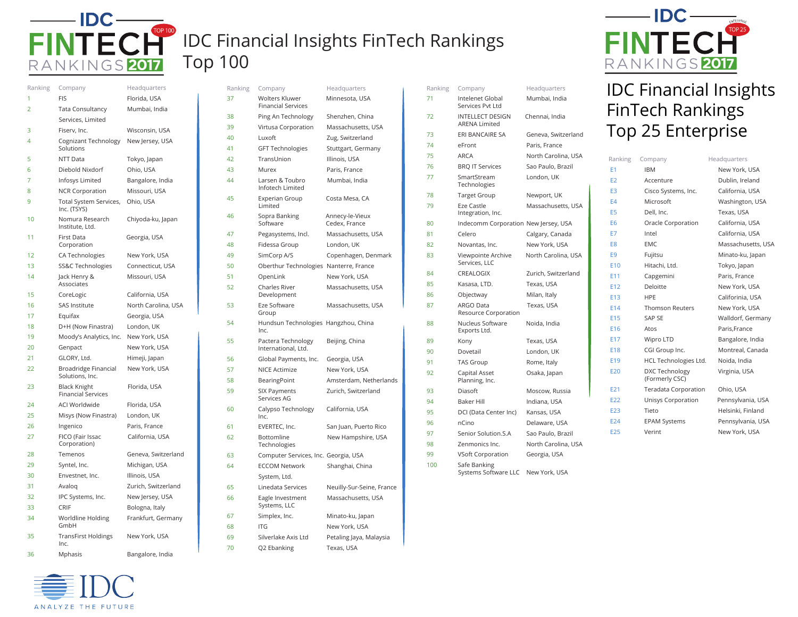

## IDC Financial Insights FinTech Rankings Top 100

| Ranking | Company                                          | Headquarters        |
|---------|--------------------------------------------------|---------------------|
| 1       | <b>FIS</b>                                       | Florida, USA        |
| 2       | <b>Tata Consultancy</b>                          | Mumbai, India       |
|         | Services, Limited                                |                     |
| 3       | Fiserv, Inc.                                     | Wisconsin, USA      |
| 4       | Cognizant Technology<br>Solutions                | New Jersey, USA     |
| 5       | NTT Data                                         | Tokyo, Japan        |
| 6       | Diebold Nixdorf                                  | Ohio, USA           |
| 7       | Infosys Limited                                  | Bangalore, India    |
| 8       | <b>NCR Corporation</b>                           | Missouri, USA       |
| 9       | Total System Services,<br>Inc. (TSYS)            | Ohio, USA           |
| 10      | Nomura Research<br>Institute. Ltd.               | Chiyoda-ku, Japan   |
| 11      | First Data<br>Corporation                        | Georgia, USA        |
| 12      | CA Technologies                                  | New York, USA       |
| 13      | SS&C Technologies                                | Connecticut, USA    |
| 14      | Jack Henry &<br>Associates                       | Missouri, USA       |
| 15      | CoreLogic                                        | California, USA     |
| 16      | SAS Institute                                    | North Carolina, USA |
| 17      | Equifax                                          | Georgia, USA        |
| 18      | D+H (Now Finastra)                               | London, UK          |
| 19      | Moody's Analytics, Inc.                          | New York, USA       |
| 20      | Genpact                                          | New York, USA       |
| 21      | GLORY, Ltd.                                      | Himeji, Japan       |
| 22      | Broadridge Financial<br>Solutions, Inc.          | New York, USA       |
| 23      | <b>Black Knight</b><br><b>Financial Services</b> | Florida, USA        |
| 24      | <b>ACI Worldwide</b>                             | Florida, USA        |
| 25      | Misys (Now Finastra)                             | London, UK          |
| 26      | Ingenico                                         | Paris, France       |
| 27      | FICO (Fair Issac<br>Corporation)                 | California, USA     |
| 28      | Temenos                                          | Geneva, Switzerland |
| 29      | Syntel, Inc.                                     | Michigan, USA       |
| 30      | Envestnet, Inc.                                  | Illinois, USA       |
| 31      | Avalog                                           | Zurich, Switzerland |
| 32      | IPC Systems, Inc.                                | New Jersey, USA     |
| 33      | CRIF                                             | Bologna, Italy      |
| 34      | Worldline Holding<br>GmbH                        | Frankfurt, Germany  |
| 35      | <b>TransFirst Holdings</b><br>Inc.               | New York, USA       |
| 36      | Mphasis                                          | Bangalore, India    |

ANALYZE THE FUTURE

| Ranking | Company                                            | Headquarters                     |
|---------|----------------------------------------------------|----------------------------------|
| 37      | <b>Wolters Kluwer</b><br><b>Financial Services</b> | Minnesota, USA                   |
| 38      | Ping An Technology                                 | Shenzhen, China                  |
| 39      | Virtusa Corporation                                | Massachusetts, USA               |
| 40      | Luxoft                                             | Zug, Switzerland                 |
| 41      | <b>GFT Technologies</b>                            | Stuttgart, Germany               |
| 42      | TransUnion                                         | Illinois, USA                    |
| 43      | Murex                                              | Paris, France                    |
| 44      | Larsen & Toubro<br>Infotech Limited                | Mumbai, India                    |
| 45      | <b>Experian Group</b><br>Limited                   | Costa Mesa, CA                   |
| 46      | Sopra Banking<br>Software                          | Annecy-le-Vieux<br>Cedex, France |
| 47      | Pegasystems, Incl.                                 | Massachusetts, USA               |
| 48      | Fidessa Group                                      | London, UK                       |
| 49      | SimCorp A/S                                        | Copenhagen, Denmark              |
| 50      | Oberthur Technologies Nanterre, France             |                                  |
| 51      | OpenLink                                           | New York, USA                    |
| 52      | <b>Charles River</b><br>Development                | Massachusetts, USA               |
| 53      | Eze Software<br>Group                              | Massachusetts, USA               |
| 54      | Hundsun Technologies Hangzhou, China<br>Inc.       |                                  |
| 55      | Pactera Technology<br>International, Ltd.          | Beijing, China                   |
| 56      | Global Payments, Inc.                              | Georgia, USA                     |
| 57      | <b>NICE Actimize</b>                               | New York, USA                    |
| 58      | BearingPoint                                       | Amsterdam, Netherlands           |
| 59      | SIX Payments<br>Services AG                        | Zurich, Switzerland              |
| 60      | Calypso Technology<br>Inc.                         | California, USA                  |
| 61      | EVERTEC, Inc.                                      | San Juan, Puerto Rico            |
| 62      | Bottomline<br>Technologies                         | New Hampshire, USA               |
| 63      | Computer Services, Inc. Georgia, USA               |                                  |
| 64      | <b>ECCOM Network</b>                               | Shanghai, China                  |
|         | System, Ltd.                                       |                                  |
| 65      | Linedata Services                                  | Neuilly-Sur-Seine, France        |
| 66      | Eagle Investment<br>Systems, LLC                   | Massachusetts, USA               |
| 67      | Simplex, Inc.                                      | Minato-ku, Japan                 |
| 68      | ITG                                                | New York, USA                    |
| 69      | Silverlake Axis Ltd                                | Petaling Jaya, Malaysia          |
| 70      | Q2 Ebanking                                        | Texas, USA                       |

| Ranking | Company                                         | Headquarters        |
|---------|-------------------------------------------------|---------------------|
| 71      | Intelenet Global<br>Services Pvt Ltd            | Mumbai, India       |
| 72      | <b>INTELLECT DESIGN</b><br><b>ARENA Limited</b> | Chennai, India      |
| 73      | <b>ERI BANCAIRE SA</b>                          | Geneva, Switzerland |
| 74      | eFront                                          | Paris, France       |
| 75      | <b>ARCA</b>                                     | North Carolina, USA |
| 76      | <b>BRQ IT Services</b>                          | Sao Paulo, Brazil   |
| 77      | SmartStream<br>Technologies                     | London, UK          |
| 78      | <b>Target Group</b>                             | Newport, UK         |
| 79      | Eze Castle<br>Integration, Inc.                 | Massachusetts, USA  |
| 80      | Indecomm Corporation New Jersey, USA            |                     |
| 81      | Celero                                          | Calgary, Canada     |
| 82      | Novantas, Inc.                                  | New York, USA       |
| 83      | Viewpointe Archive<br>Services, LLC             | North Carolina, USA |
| 84      | CREALOGIX                                       | Zurich, Switzerland |
| 85      | Kasasa, LTD.                                    | Texas, USA          |
| 86      | Objectway                                       | Milan, Italy        |
| 87      | <b>ARGO Data</b><br>Resource Corporation        | Texas, USA          |
| 88      | Nucleus Software<br>Exports Ltd.                | Noida, India        |
| 89      | Kony                                            | Texas, USA          |
| 90      | Dovetail                                        | London, UK          |
| 91      | <b>TAS Group</b>                                | Rome, Italy         |
| 92      | Capital Asset<br>Planning, Inc.                 | Osaka, Japan        |
| 93      | Diasoft                                         | Moscow, Russia      |
| 94      | <b>Baker Hill</b>                               | Indiana, USA        |
| 95      | DCI (Data Center Inc)                           | Kansas, USA         |
| 96      | nCino                                           | Delaware, USA       |
| 97      | Senior Solution.S.A                             | Sao Paulo, Brazil   |
| 98      | Zenmonics Inc.                                  | North Carolina, USA |
| 99      | <b>VSoft Corporation</b>                        | Georgia, USA        |
| 100     | Safe Banking<br>Systems Software LLC            | New York, USA       |



## IDC Financial Insights FinTech Rankings Top 25 Enterprise

| Company                                 | Headquarters       |
|-----------------------------------------|--------------------|
| <b>IBM</b>                              | New York, USA      |
| Accenture                               | Dublin, Ireland    |
| Cisco Systems, Inc.                     | California, USA    |
| Microsoft                               | Washington, USA    |
| Dell, Inc.                              | Texas, USA         |
| Oracle Corporation                      | California, USA    |
| Intel                                   | California, USA    |
| EMC                                     | Massachusetts, USA |
| Fujitsu                                 | Minato-ku, Japan   |
| Hitachi, Ltd.                           | Tokyo, Japan       |
| Capgemini                               | Paris, France      |
| Deloitte                                | New York, USA      |
| <b>HPF</b>                              | Califorinia, USA   |
| <b>Thomson Reuters</b>                  | New York, USA      |
| SAP SE                                  | Walldorf, Germany  |
| Atos                                    | Paris.France       |
| Wipro LTD                               | Bangalore, India   |
| CGI Group Inc.                          | Montreal, Canada   |
| HCL Technologies Ltd.                   | Noida, India       |
| <b>DXC Technology</b><br>(Formerly CSC) | Virginia, USA      |
| Teradata Corporation                    | Ohio, USA          |
| Unisys Corporation                      | Pennsylvania, USA  |
| Tieto                                   | Helsinki, Finland  |
| <b>EPAM Systems</b>                     | Pennsylvania, USA  |
| Verint                                  | New York, USA      |
|                                         |                    |